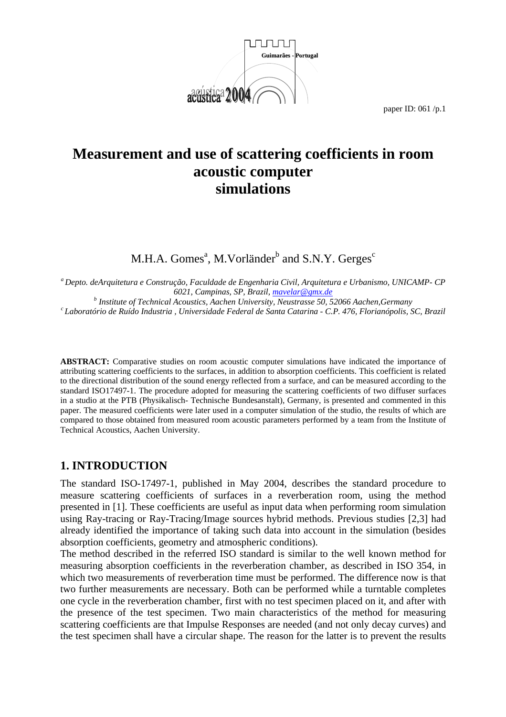

# **Measurement and use of scattering coefficients in room acoustic computer simulations**

M.H.A. Gomes<sup>a</sup>, M.Vorländer $^{\rm b}$  and S.N.Y. Gerges $^{\rm c}$ 

*a Depto. deArquitetura e Construção, Faculdade de Engenharia Civil, Arquitetura e Urbanismo, UNICAMP- CP 6021, Campinas, SP, Brazil, mavelar@gmx.de <sup>b</sup> Institute of Technical Acoustics, Aachen University, Neustrasse 50, 52066 Aachen,Germany c Laboratório de Ruído Industria , Universidade Federal de Santa Catarina - C.P. 476, Florianópolis, SC, Brazil* 

**ABSTRACT:** Comparative studies on room acoustic computer simulations have indicated the importance of attributing scattering coefficients to the surfaces, in addition to absorption coefficients. This coefficient is related to the directional distribution of the sound energy reflected from a surface, and can be measured according to the standard ISO17497-1. The procedure adopted for measuring the scattering coefficients of two diffuser surfaces in a studio at the PTB (Physikalisch- Technische Bundesanstalt), Germany, is presented and commented in this paper. The measured coefficients were later used in a computer simulation of the studio, the results of which are compared to those obtained from measured room acoustic parameters performed by a team from the Institute of Technical Acoustics, Aachen University.

# **1. INTRODUCTION**

The standard ISO-17497-1, published in May 2004, describes the standard procedure to measure scattering coefficients of surfaces in a reverberation room, using the method presented in [1]. These coefficients are useful as input data when performing room simulation using Ray-tracing or Ray-Tracing/Image sources hybrid methods. Previous studies [2,3] had already identified the importance of taking such data into account in the simulation (besides absorption coefficients, geometry and atmospheric conditions).

The method described in the referred ISO standard is similar to the well known method for measuring absorption coefficients in the reverberation chamber, as described in ISO 354, in which two measurements of reverberation time must be performed. The difference now is that two further measurements are necessary. Both can be performed while a turntable completes one cycle in the reverberation chamber, first with no test specimen placed on it, and after with the presence of the test specimen. Two main characteristics of the method for measuring scattering coefficients are that Impulse Responses are needed (and not only decay curves) and the test specimen shall have a circular shape. The reason for the latter is to prevent the results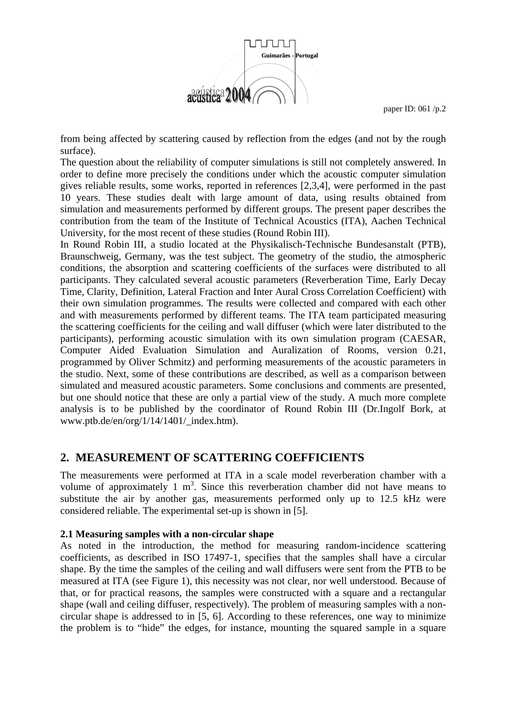

from being affected by scattering caused by reflection from the edges (and not by the rough surface).

The question about the reliability of computer simulations is still not completely answered. In order to define more precisely the conditions under which the acoustic computer simulation gives reliable results, some works, reported in references [2,3,4], were performed in the past 10 years. These studies dealt with large amount of data, using results obtained from simulation and measurements performed by different groups. The present paper describes the contribution from the team of the Institute of Technical Acoustics (ITA), Aachen Technical University, for the most recent of these studies (Round Robin III).

In Round Robin III, a studio located at the Physikalisch-Technische Bundesanstalt (PTB), Braunschweig, Germany, was the test subject. The geometry of the studio, the atmospheric conditions, the absorption and scattering coefficients of the surfaces were distributed to all participants. They calculated several acoustic parameters (Reverberation Time, Early Decay Time, Clarity, Definition, Lateral Fraction and Inter Aural Cross Correlation Coefficient) with their own simulation programmes. The results were collected and compared with each other and with measurements performed by different teams. The ITA team participated measuring the scattering coefficients for the ceiling and wall diffuser (which were later distributed to the participants), performing acoustic simulation with its own simulation program (CAESAR, Computer Aided Evaluation Simulation and Auralization of Rooms, version 0.21, programmed by Oliver Schmitz) and performing measurements of the acoustic parameters in the studio. Next, some of these contributions are described, as well as a comparison between simulated and measured acoustic parameters. Some conclusions and comments are presented, but one should notice that these are only a partial view of the study. A much more complete analysis is to be published by the coordinator of Round Robin III (Dr.Ingolf Bork, at www.ptb.de/en/org/1/14/1401/ index.htm).

# **2. MEASUREMENT OF SCATTERING COEFFICIENTS**

The measurements were performed at ITA in a scale model reverberation chamber with a volume of approximately 1  $m^3$ . Since this reverberation chamber did not have means to substitute the air by another gas, measurements performed only up to 12.5 kHz were considered reliable. The experimental set-up is shown in [5].

### **2.1 Measuring samples with a non-circular shape**

As noted in the introduction, the method for measuring random-incidence scattering coefficients, as described in ISO 17497-1, specifies that the samples shall have a circular shape. By the time the samples of the ceiling and wall diffusers were sent from the PTB to be measured at ITA (see Figure 1), this necessity was not clear, nor well understood. Because of that, or for practical reasons, the samples were constructed with a square and a rectangular shape (wall and ceiling diffuser, respectively). The problem of measuring samples with a noncircular shape is addressed to in [5, 6]. According to these references, one way to minimize the problem is to "hide" the edges, for instance, mounting the squared sample in a square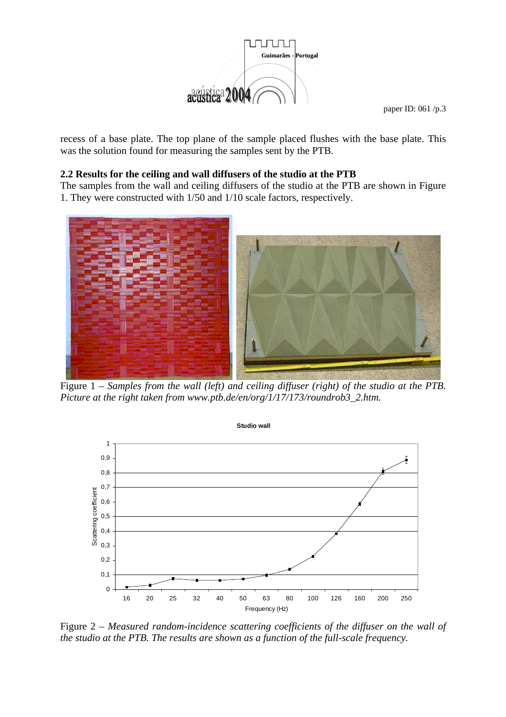

recess of a base plate. The top plane of the sample placed flushes with the base plate. This was the solution found for measuring the samples sent by the PTB.

### **2.2 Results for the ceiling and wall diffusers of the studio at the PTB**

The samples from the wall and ceiling diffusers of the studio at the PTB are shown in Figure 1. They were constructed with 1/50 and 1/10 scale factors, respectively.



Figure 1 – *Samples from the wall (left) and ceiling diffuser (right) of the studio at the PTB. Picture at the right taken from www.ptb.de/en/org/1/17/173/roundrob3\_2.htm.* 



Figure 2 – *Measured random-incidence scattering coefficients of the diffuser on the wall of the studio at the PTB. The results are shown as a function of the full-scale frequency.*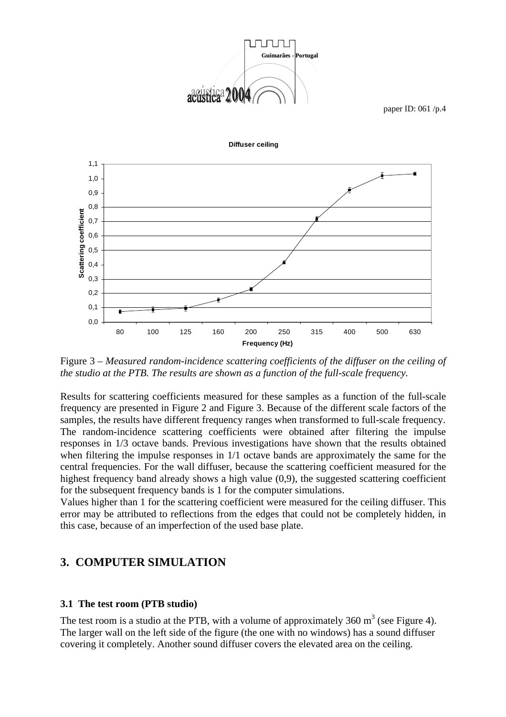



**Diffuser ceiling**

Figure 3 – *Measured random-incidence scattering coefficients of the diffuser on the ceiling of the studio at the PTB. The results are shown as a function of the full-scale frequency.* 

Results for scattering coefficients measured for these samples as a function of the full-scale frequency are presented in Figure 2 and Figure 3. Because of the different scale factors of the samples, the results have different frequency ranges when transformed to full-scale frequency. The random-incidence scattering coefficients were obtained after filtering the impulse responses in 1/3 octave bands. Previous investigations have shown that the results obtained when filtering the impulse responses in 1/1 octave bands are approximately the same for the central frequencies. For the wall diffuser, because the scattering coefficient measured for the highest frequency band already shows a high value (0,9), the suggested scattering coefficient for the subsequent frequency bands is 1 for the computer simulations.

Values higher than 1 for the scattering coefficient were measured for the ceiling diffuser. This error may be attributed to reflections from the edges that could not be completely hidden, in this case, because of an imperfection of the used base plate.

## **3. COMPUTER SIMULATION**

#### **3.1 The test room (PTB studio)**

The test room is a studio at the PTB, with a volume of approximately 360  $m<sup>3</sup>$  (see Figure 4). The larger wall on the left side of the figure (the one with no windows) has a sound diffuser covering it completely. Another sound diffuser covers the elevated area on the ceiling.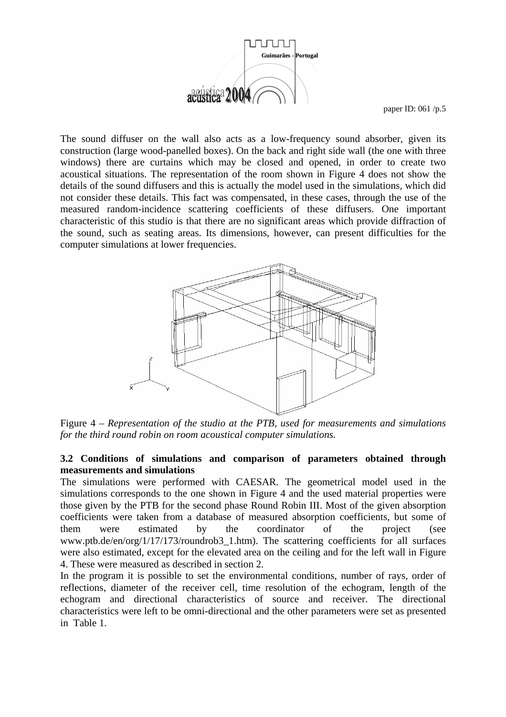

The sound diffuser on the wall also acts as a low-frequency sound absorber, given its construction (large wood-panelled boxes). On the back and right side wall (the one with three windows) there are curtains which may be closed and opened, in order to create two acoustical situations. The representation of the room shown in Figure 4 does not show the details of the sound diffusers and this is actually the model used in the simulations, which did not consider these details. This fact was compensated, in these cases, through the use of the measured random-incidence scattering coefficients of these diffusers. One important characteristic of this studio is that there are no significant areas which provide diffraction of the sound, such as seating areas. Its dimensions, however, can present difficulties for the computer simulations at lower frequencies.



Figure 4 – *Representation of the studio at the PTB, used for measurements and simulations for the third round robin on room acoustical computer simulations.*

### **3.2 Conditions of simulations and comparison of parameters obtained through measurements and simulations**

The simulations were performed with CAESAR. The geometrical model used in the simulations corresponds to the one shown in Figure 4 and the used material properties were those given by the PTB for the second phase Round Robin III. Most of the given absorption coefficients were taken from a database of measured absorption coefficients, but some of them were estimated by the coordinator of the project (see www.ptb.de/en/org/1/17/173/roundrob3\_1.htm). The scattering coefficients for all surfaces were also estimated, except for the elevated area on the ceiling and for the left wall in Figure 4. These were measured as described in section 2.

In the program it is possible to set the environmental conditions, number of rays, order of reflections, diameter of the receiver cell, time resolution of the echogram, length of the echogram and directional characteristics of source and receiver. The directional characteristics were left to be omni-directional and the other parameters were set as presented in Table 1.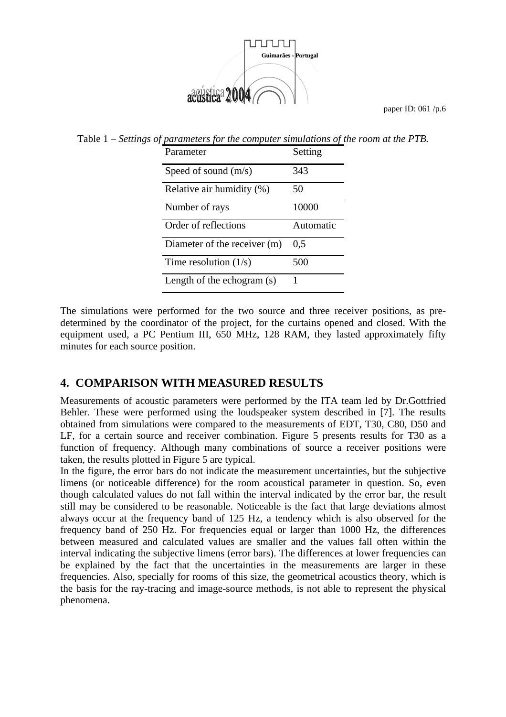

Table 1 – *Settings of parameters for the computer simulations of the room at the PTB.* 

| Parameter                    | Setting   |
|------------------------------|-----------|
| Speed of sound $(m/s)$       | 343       |
| Relative air humidity (%)    | 50        |
| Number of rays               | 10000     |
| Order of reflections         | Automatic |
| Diameter of the receiver (m) | 0,5       |
| Time resolution $(1/s)$      | 500       |
| Length of the echogram (s)   |           |

The simulations were performed for the two source and three receiver positions, as predetermined by the coordinator of the project, for the curtains opened and closed. With the equipment used, a PC Pentium III, 650 MHz, 128 RAM, they lasted approximately fifty minutes for each source position.

# **4. COMPARISON WITH MEASURED RESULTS**

Measurements of acoustic parameters were performed by the ITA team led by Dr.Gottfried Behler. These were performed using the loudspeaker system described in [7]. The results obtained from simulations were compared to the measurements of EDT, T30, C80, D50 and LF, for a certain source and receiver combination. Figure 5 presents results for T30 as a function of frequency. Although many combinations of source a receiver positions were taken, the results plotted in Figure 5 are typical.

In the figure, the error bars do not indicate the measurement uncertainties, but the subjective limens (or noticeable difference) for the room acoustical parameter in question. So, even though calculated values do not fall within the interval indicated by the error bar, the result still may be considered to be reasonable. Noticeable is the fact that large deviations almost always occur at the frequency band of 125 Hz, a tendency which is also observed for the frequency band of 250 Hz. For frequencies equal or larger than 1000 Hz, the differences between measured and calculated values are smaller and the values fall often within the interval indicating the subjective limens (error bars). The differences at lower frequencies can be explained by the fact that the uncertainties in the measurements are larger in these frequencies. Also, specially for rooms of this size, the geometrical acoustics theory, which is the basis for the ray-tracing and image-source methods, is not able to represent the physical phenomena.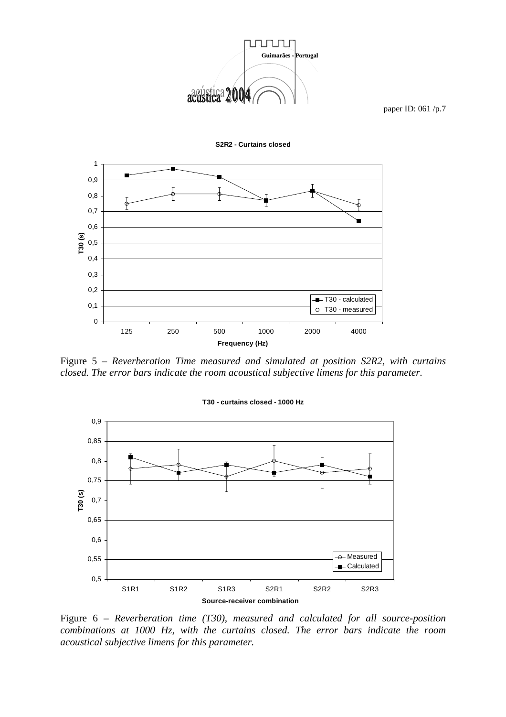

**S2R2 - Curtains closed**



Figure 5 – *Reverberation Time measured and simulated at position S2R2, with curtains closed. The error bars indicate the room acoustical subjective limens for this parameter.* 



Figure 6 – *Reverberation time (T30), measured and calculated for all source-position combinations at 1000 Hz, with the curtains closed. The error bars indicate the room acoustical subjective limens for this parameter.*